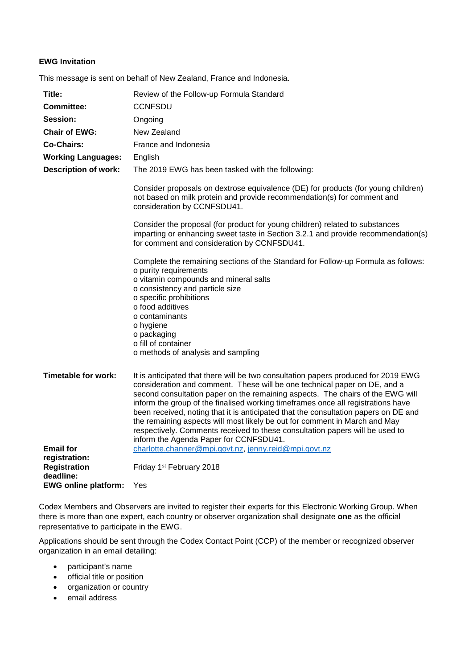## **EWG Invitation**

This message is sent on behalf of New Zealand, France and Indonesia.

| Title:                           | Review of the Follow-up Formula Standard                                                                                                                                                                                                                                                                                                                                                                                                                                                                                                                                                                                             |
|----------------------------------|--------------------------------------------------------------------------------------------------------------------------------------------------------------------------------------------------------------------------------------------------------------------------------------------------------------------------------------------------------------------------------------------------------------------------------------------------------------------------------------------------------------------------------------------------------------------------------------------------------------------------------------|
| <b>Committee:</b>                | <b>CCNFSDU</b>                                                                                                                                                                                                                                                                                                                                                                                                                                                                                                                                                                                                                       |
| Session:                         | Ongoing                                                                                                                                                                                                                                                                                                                                                                                                                                                                                                                                                                                                                              |
| <b>Chair of EWG:</b>             | New Zealand                                                                                                                                                                                                                                                                                                                                                                                                                                                                                                                                                                                                                          |
| Co-Chairs:                       | France and Indonesia                                                                                                                                                                                                                                                                                                                                                                                                                                                                                                                                                                                                                 |
| <b>Working Languages:</b>        | English                                                                                                                                                                                                                                                                                                                                                                                                                                                                                                                                                                                                                              |
| <b>Description of work:</b>      | The 2019 EWG has been tasked with the following:                                                                                                                                                                                                                                                                                                                                                                                                                                                                                                                                                                                     |
|                                  | Consider proposals on dextrose equivalence (DE) for products (for young children)<br>not based on milk protein and provide recommendation(s) for comment and<br>consideration by CCNFSDU41.                                                                                                                                                                                                                                                                                                                                                                                                                                          |
|                                  | Consider the proposal (for product for young children) related to substances<br>imparting or enhancing sweet taste in Section 3.2.1 and provide recommendation(s)<br>for comment and consideration by CCNFSDU41.                                                                                                                                                                                                                                                                                                                                                                                                                     |
|                                  | Complete the remaining sections of the Standard for Follow-up Formula as follows:<br>o purity requirements<br>o vitamin compounds and mineral salts<br>o consistency and particle size<br>o specific prohibitions<br>o food additives<br>o contaminants                                                                                                                                                                                                                                                                                                                                                                              |
|                                  | o hygiene<br>o packaging<br>o fill of container<br>o methods of analysis and sampling                                                                                                                                                                                                                                                                                                                                                                                                                                                                                                                                                |
| Timetable for work:              | It is anticipated that there will be two consultation papers produced for 2019 EWG<br>consideration and comment. These will be one technical paper on DE, and a<br>second consultation paper on the remaining aspects. The chairs of the EWG will<br>inform the group of the finalised working timeframes once all registrations have<br>been received, noting that it is anticipated that the consultation papers on DE and<br>the remaining aspects will most likely be out for comment in March and May<br>respectively. Comments received to these consultation papers will be used to<br>inform the Agenda Paper for CCNFSDU41. |
| <b>Email for</b>                 | charlotte.channer@mpi.govt.nz, jenny.reid@mpi.govt.nz                                                                                                                                                                                                                                                                                                                                                                                                                                                                                                                                                                                |
| registration:                    |                                                                                                                                                                                                                                                                                                                                                                                                                                                                                                                                                                                                                                      |
| <b>Registration</b><br>deadline: | Friday 1 <sup>st</sup> February 2018                                                                                                                                                                                                                                                                                                                                                                                                                                                                                                                                                                                                 |
| <b>EWG online platform:</b>      | Yes                                                                                                                                                                                                                                                                                                                                                                                                                                                                                                                                                                                                                                  |

Codex Members and Observers are invited to register their experts for this Electronic Working Group. When there is more than one expert, each country or observer organization shall designate **one** as the official representative to participate in the EWG.

Applications should be sent through the Codex Contact Point (CCP) of the member or recognized observer organization in an email detailing:

- participant's name
- official title or position
- organization or country
- email address